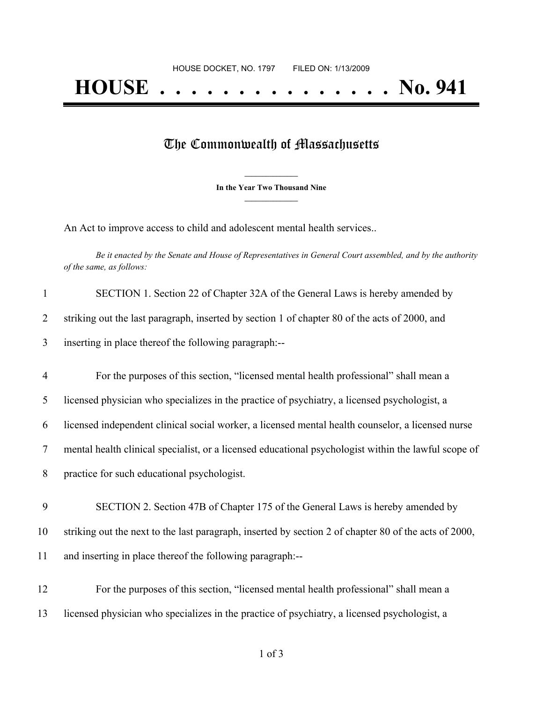## The Commonwealth of Massachusetts

**\_\_\_\_\_\_\_\_\_\_\_\_\_\_\_ In the Year Two Thousand Nine \_\_\_\_\_\_\_\_\_\_\_\_\_\_\_**

An Act to improve access to child and adolescent mental health services..

Be it enacted by the Senate and House of Representatives in General Court assembled, and by the authority *of the same, as follows:*

| $\mathbf{1}$   | SECTION 1. Section 22 of Chapter 32A of the General Laws is hereby amended by                         |
|----------------|-------------------------------------------------------------------------------------------------------|
| $\overline{2}$ | striking out the last paragraph, inserted by section 1 of chapter 80 of the acts of 2000, and         |
| 3              | inserting in place thereof the following paragraph:--                                                 |
| $\overline{4}$ | For the purposes of this section, "licensed mental health professional" shall mean a                  |
| 5              | licensed physician who specializes in the practice of psychiatry, a licensed psychologist, a          |
| 6              | licensed independent clinical social worker, a licensed mental health counselor, a licensed nurse     |
| 7              | mental health clinical specialist, or a licensed educational psychologist within the lawful scope of  |
| 8              | practice for such educational psychologist.                                                           |
| 9              | SECTION 2. Section 47B of Chapter 175 of the General Laws is hereby amended by                        |
| 10             | striking out the next to the last paragraph, inserted by section 2 of chapter 80 of the acts of 2000, |
| 11             | and inserting in place thereof the following paragraph:--                                             |
| 12             | For the purposes of this section, "licensed mental health professional" shall mean a                  |
| 13             | licensed physician who specializes in the practice of psychiatry, a licensed psychologist, a          |
|                |                                                                                                       |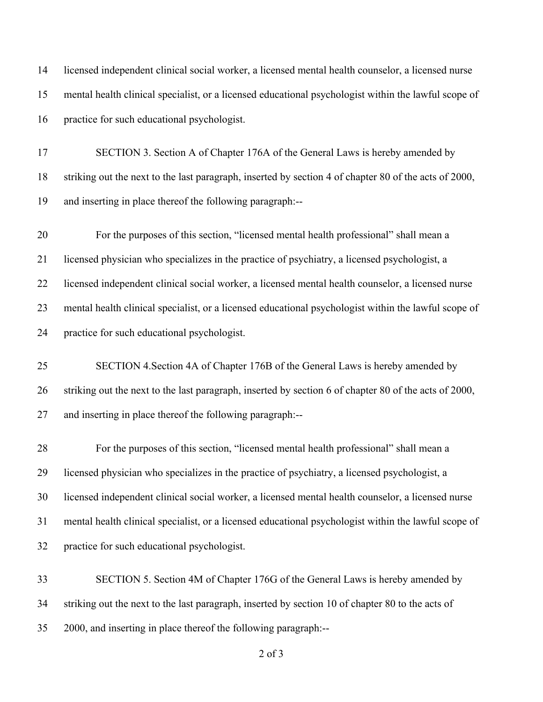licensed independent clinical social worker, a licensed mental health counselor, a licensed nurse mental health clinical specialist, or a licensed educational psychologist within the lawful scope of practice for such educational psychologist. 17 SECTION 3. Section A of Chapter 176A of the General Laws is hereby amended by striking out the next to the last paragraph, inserted by section 4 of chapter 80 of the acts of 2000,

and inserting in place thereof the following paragraph:--

 For the purposes of this section, "licensed mental health professional" shall mean a licensed physician who specializes in the practice of psychiatry, a licensed psychologist, a licensed independent clinical social worker, a licensed mental health counselor, a licensed nurse mental health clinical specialist, or a licensed educational psychologist within the lawful scope of practice for such educational psychologist.

 SECTION 4.Section 4A of Chapter 176B of the General Laws is hereby amended by striking out the next to the last paragraph, inserted by section 6 of chapter 80 of the acts of 2000, and inserting in place thereof the following paragraph:--

 For the purposes of this section, "licensed mental health professional" shall mean a licensed physician who specializes in the practice of psychiatry, a licensed psychologist, a licensed independent clinical social worker, a licensed mental health counselor, a licensed nurse mental health clinical specialist, or a licensed educational psychologist within the lawful scope of practice for such educational psychologist.

 SECTION 5. Section 4M of Chapter 176G of the General Laws is hereby amended by striking out the next to the last paragraph, inserted by section 10 of chapter 80 to the acts of 2000, and inserting in place thereof the following paragraph:--

of 3